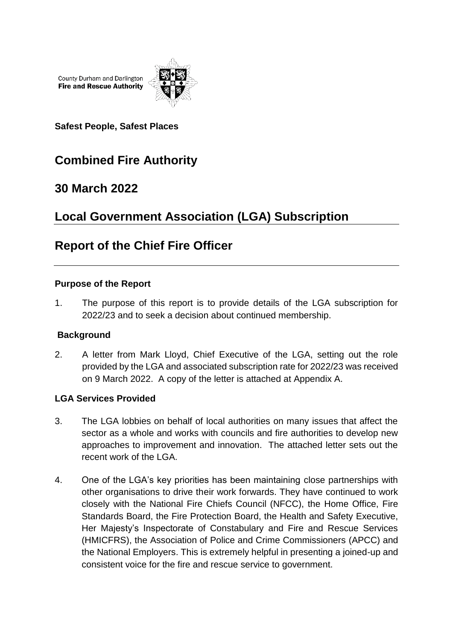County Durham and Darlington **Fire and Rescue Authority** 



**Safest People, Safest Places**

# **Combined Fire Authority**

## **30 March 2022**

# **Local Government Association (LGA) Subscription**

## **Report of the Chief Fire Officer**

#### **Purpose of the Report**

1. The purpose of this report is to provide details of the LGA subscription for 2022/23 and to seek a decision about continued membership.

#### **Background**

2. A letter from Mark Lloyd, Chief Executive of the LGA, setting out the role provided by the LGA and associated subscription rate for 2022/23 was received on 9 March 2022. A copy of the letter is attached at Appendix A.

#### **LGA Services Provided**

- 3. The LGA lobbies on behalf of local authorities on many issues that affect the sector as a whole and works with councils and fire authorities to develop new approaches to improvement and innovation. The attached letter sets out the recent work of the LGA.
- 4. One of the LGA's key priorities has been maintaining close partnerships with other organisations to drive their work forwards. They have continued to work closely with the National Fire Chiefs Council (NFCC), the Home Office, Fire Standards Board, the Fire Protection Board, the Health and Safety Executive, Her Majesty's Inspectorate of Constabulary and Fire and Rescue Services (HMICFRS), the Association of Police and Crime Commissioners (APCC) and the National Employers. This is extremely helpful in presenting a joined-up and consistent voice for the fire and rescue service to government.